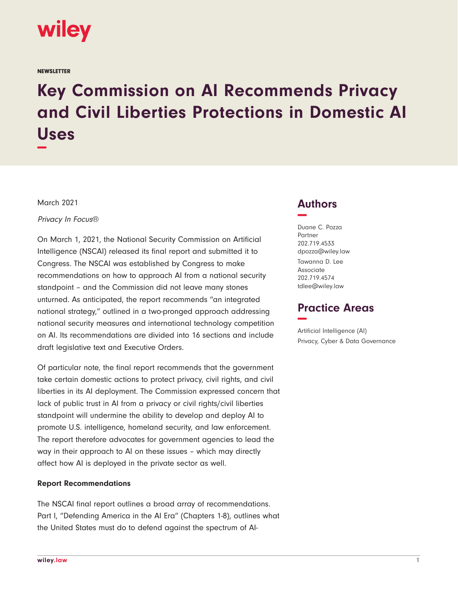

**NEWSLETTER** 

# **Key Commission on AI Recommends Privacy and Civil Liberties Protections in Domestic AI Uses −**

March 2021

Privacy In Focus®

On March 1, 2021, the National Security Commission on Artificial Intelligence (NSCAI) released its final report and submitted it to Congress. The NSCAI was established by Congress to make recommendations on how to approach AI from a national security standpoint – and the Commission did not leave many stones unturned. As anticipated, the report recommends "an integrated national strategy," outlined in a two-pronged approach addressing national security measures and international technology competition on AI. Its recommendations are divided into 16 sections and include draft legislative text and Executive Orders.

Of particular note, the final report recommends that the government take certain domestic actions to protect privacy, civil rights, and civil liberties in its AI deployment. The Commission expressed concern that lack of public trust in AI from a privacy or civil rights/civil liberties standpoint will undermine the ability to develop and deploy AI to promote U.S. intelligence, homeland security, and law enforcement. The report therefore advocates for government agencies to lead the way in their approach to AI on these issues – which may directly affect how AI is deployed in the private sector as well.

#### **Report Recommendations**

The NSCAI final report outlines a broad array of recommendations. Part I, "Defending America in the AI Era" (Chapters 1-8), outlines what the United States must do to defend against the spectrum of AI-

### **Authors −**

Duane C. Pozza Partner 202.719.4533 dpozza@wiley.law Tawanna D. Lee Associate 202.719.4574 tdlee@wiley.law

## **Practice Areas −**

Artificial Intelligence (AI) Privacy, Cyber & Data Governance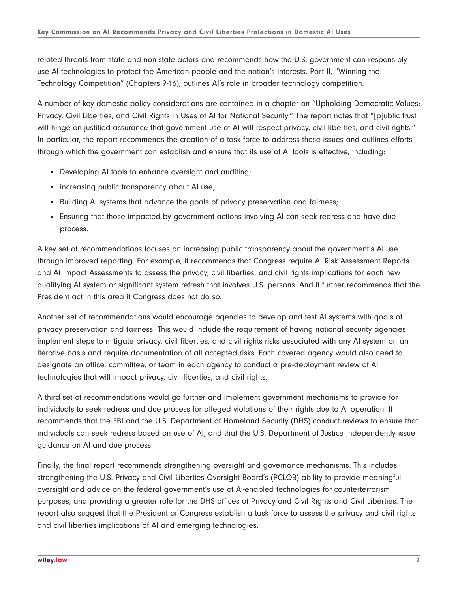related threats from state and non-state actors and recommends how the U.S. government can responsibly use AI technologies to protect the American people and the nation's interests. Part II, "Winning the Technology Competition" (Chapters 9-16), outlines AI's role in broader technology competition.

A number of key domestic policy considerations are contained in a chapter on "Upholding Democratic Values: Privacy, Civil Liberties, and Civil Rights in Uses of AI for National Security." The report notes that "[p]ublic trust will hinge on justified assurance that government use of AI will respect privacy, civil liberties, and civil rights." In particular, the report recommends the creation of a task force to address these issues and outlines efforts through which the government can establish and ensure that its use of AI tools is effective, including:

- Developing AI tools to enhance oversight and auditing;
- Increasing public transparency about AI use;
- Building AI systems that advance the goals of privacy preservation and fairness;
- Ensuring that those impacted by government actions involving AI can seek redress and have due process.

A key set of recommendations focuses on increasing public transparency about the government's AI use through improved reporting. For example, it recommends that Congress require AI Risk Assessment Reports and AI Impact Assessments to assess the privacy, civil liberties, and civil rights implications for each new qualifying AI system or significant system refresh that involves U.S. persons. And it further recommends that the President act in this area if Congress does not do so.

Another set of recommendations would encourage agencies to develop and test AI systems with goals of privacy preservation and fairness. This would include the requirement of having national security agencies implement steps to mitigate privacy, civil liberties, and civil rights risks associated with any AI system on an iterative basis and require documentation of all accepted risks. Each covered agency would also need to designate an office, committee, or team in each agency to conduct a pre-deployment review of AI technologies that will impact privacy, civil liberties, and civil rights.

A third set of recommendations would go further and implement government mechanisms to provide for individuals to seek redress and due process for alleged violations of their rights due to AI operation. It recommends that the FBI and the U.S. Department of Homeland Security (DHS) conduct reviews to ensure that individuals can seek redress based on use of AI, and that the U.S. Department of Justice independently issue guidance on AI and due process.

Finally, the final report recommends strengthening oversight and governance mechanisms. This includes strengthening the U.S. Privacy and Civil Liberties Oversight Board's (PCLOB) ability to provide meaningful oversight and advice on the federal government's use of AI-enabled technologies for counterterrorism purposes, and providing a greater role for the DHS offices of Privacy and Civil Rights and Civil Liberties. The report also suggest that the President or Congress establish a task force to assess the privacy and civil rights and civil liberties implications of AI and emerging technologies.